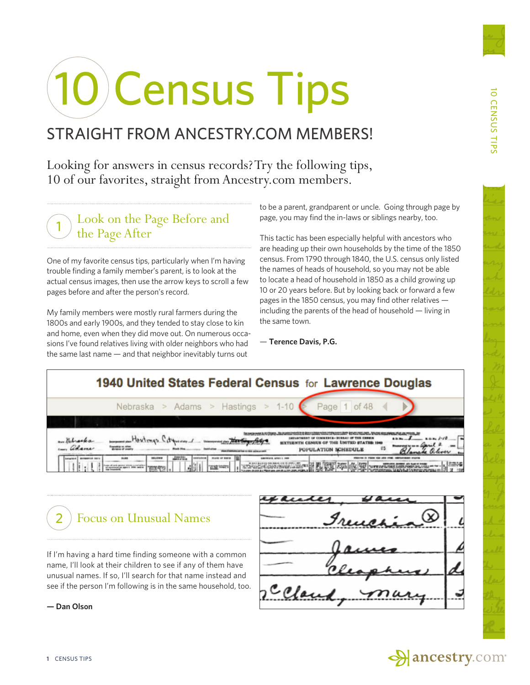# 10 Census Tips

## STRAIGHT FROM ANCESTRY.COM MEMBERS!

Looking for answers in census records? Try the following tips, 10 of our favorites, straight from Ancestry.com members.

#### Look on the Page Before and the Page After 1

One of my favorite census tips, particularly when I'm having trouble finding a family member's parent, is to look at the actual census images, then use the arrow keys to scroll a few pages before and after the person's record.

My family members were mostly rural farmers during the 1800s and early 1900s, and they tended to stay close to kin and home, even when they did move out. On numerous occasions I've found relatives living with older neighbors who had the same last name — and that neighbor inevitably turns out

to be a parent, grandparent or uncle. Going through page by page, you may find the in-laws or siblings nearby, too.

This tactic has been especially helpful with ancestors who are heading up their own households by the time of the 1850 census. From 1790 through 1840, the U.S. census only listed the names of heads of household, so you may not be able to locate a head of household in 1850 as a child growing up 10 or 20 years before. But by looking back or forward a few pages in the 1850 census, you may find other relatives including the parents of the head of household — living in the same town.

— **Terence Davis, P.G.**





If I'm having a hard time finding someone with a common name, I'll look at their children to see if any of them have unusual names. If so, I'll search for that name instead and see if the person I'm following is in the same household, too.

**— Dan Olson**

and rceland

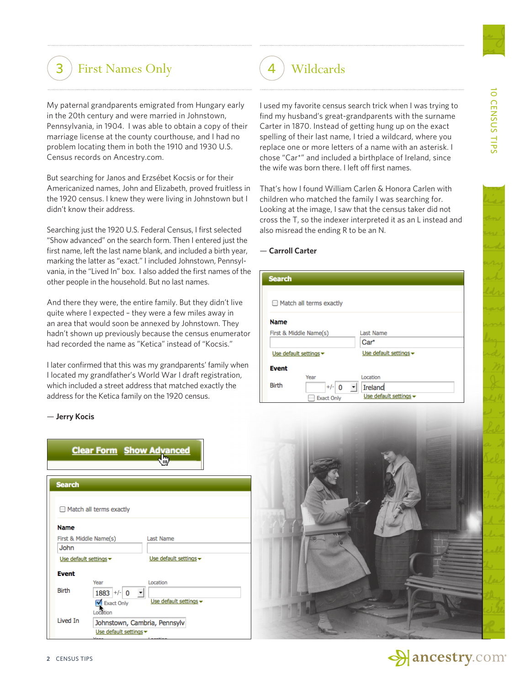## (3) First Names Only (4) Wildcards

My paternal grandparents emigrated from Hungary early in the 20th century and were married in Johnstown, Pennsylvania, in 1904. I was able to obtain a copy of their marriage license at the county courthouse, and I had no problem locating them in both the 1910 and 1930 U.S. Census records on Ancestry.com.

But searching for Janos and Erzsébet Kocsis or for their Americanized names, John and Elizabeth, proved fruitless in the 1920 census. I knew they were living in Johnstown but I didn't know their address.

Searching just the 1920 U.S. Federal Census, I first selected "Show advanced" on the search form. Then I entered just the first name, left the last name blank, and included a birth year, marking the latter as "exact." I included Johnstown, Pennsylvania, in the "Lived In" box. I also added the first names of the other people in the household. But no last names.

And there they were, the entire family. But they didn't live quite where I expected – they were a few miles away in an area that would soon be annexed by Johnstown. They hadn't shown up previously because the census enumerator had recorded the name as "Ketica" instead of "Kocsis."

I later confirmed that this was my grandparents' family when I located my grandfather's World War I draft registration, which included a street address that matched exactly the address for the Ketica family on the 1920 census.

#### — **Jerry Kocis**

|                        | <b>Clear Form Show Advanced</b> |                                      |
|------------------------|---------------------------------|--------------------------------------|
|                        |                                 |                                      |
| <b>Search</b>          |                                 |                                      |
|                        | $\Box$ Match all terms exactly  |                                      |
| <b>Name</b>            |                                 |                                      |
| First & Middle Name(s) |                                 | <b>Last Name</b>                     |
| John                   |                                 |                                      |
| Use default settings = |                                 | Use default settings $\star$         |
| <b>Event</b>           |                                 |                                      |
| <b>Birth</b>           | Year<br>$1883$ +/- 0            | Location<br>$\overline{\phantom{a}}$ |
|                        | Exact Only<br>Location          | Use default settings -               |
| <b>Lived In</b>        |                                 | Johnstown, Cambria, Pennsylv         |
|                        | Use default settings =          |                                      |

I used my favorite census search trick when I was trying to find my husband's great-grandparents with the surname Carter in 1870. Instead of getting hung up on the exact spelling of their last name, I tried a wildcard, where you replace one or more letters of a name with an asterisk. I chose "Car\*" and included a birthplace of Ireland, since the wife was born there. I left off first names.

That's how I found William Carlen & Honora Carlen with children who matched the family I was searching for. Looking at the image, I saw that the census taker did not cross the T, so the indexer interpreted it as an L instead and also misread the ending R to be an N.

#### — **Carroll Carter**

| <b>Search</b>                                      |                              |  |  |
|----------------------------------------------------|------------------------------|--|--|
| $\Box$ Match all terms exactly                     |                              |  |  |
| <b>Name</b>                                        |                              |  |  |
| First & Middle Name(s)                             | <b>Last Name</b>             |  |  |
|                                                    | Car*                         |  |  |
| Use default settings $\blacktriangledown$          | Use default settings $\star$ |  |  |
| <b>Event</b>                                       |                              |  |  |
| Year                                               | Location                     |  |  |
| <b>Birth</b><br>$+/-$<br>$\blacktriangledown$<br>0 | Ireland                      |  |  |
| <b>Exact Only</b>                                  | Use default settings $\star$ |  |  |



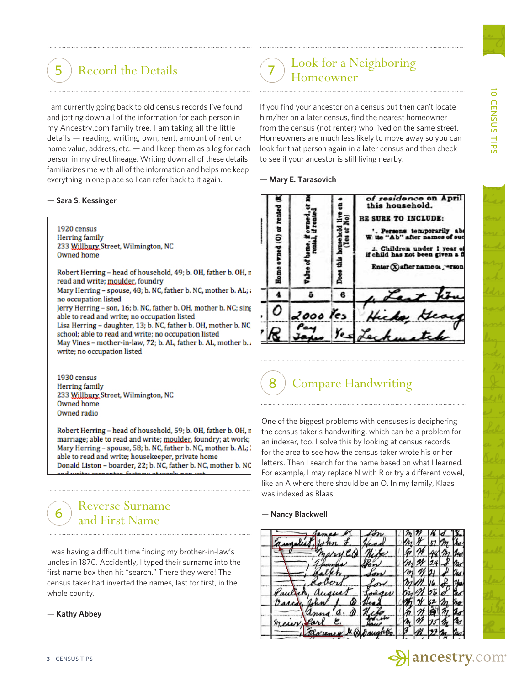10 CENSUS TIPS

CENSUS TIPS

ᅙ

I am currently going back to old census records I've found and jotting down all of the information for each person in my Ancestry.com family tree. I am taking all the little details — reading, writing, own, rent, amount of rent or home value, address, etc. — and I keep them as a log for each person in my direct lineage. Writing down all of these details familiarizes me with all of the information and helps me keep everything in one place so I can refer back to it again.

#### — **Sara S. Kessinger**

1920 census **Herring** family 233 Willbury Street, Wilmington, NC Owned home

Robert Herring - head of household, 49; b. OH, father b. OH, n read and write; moulder, foundry Mary Herring - spouse, 48; b. NC, father b. NC, mother b. AL; no occupation listed Jerry Herring - son, 16; b. NC, father b. OH, mother b. NC; sing able to read and write; no occupation listed Lisa Herring - daughter, 13; b. NC, father b. OH, mother b. NC school; able to read and write; no occupation listed May Vines - mother-in-law, 72; b. AL, father b. AL, mother b. write; no occupation listed

1930 census **Herring** family 233 Willbury Street, Wilmington, NC Owned home Owned radio

Robert Herring - head of household, 59; b. OH, father b. OH, r marriage; able to read and write; moulder, foundry; at work; Mary Herring - spouse, 58; b. NC, father b. NC, mother b. AL; able to read and write; housekeeper, private home Donald Liston - boarder, 22; b. NC, father b. NC, mother b. NC

### Reverse Surname and First Name

I was having a difficult time finding my brother-in-law's uncles in 1870. Accidently, I typed their surname into the first name box then hit "search." There they were! The census taker had inverted the names, last for first, in the whole county.

— **Kathy Abbey**

6

#### (5) Record the Details (7) Homeowner Look for a Neighboring 7

If you find your ancestor on a census but then can't locate him/her on a later census, find the nearest homeowner from the census (not renter) who lived on the same street. Homeowners are much less likely to move away so you can look for that person again in a later census and then check to see if your ancestor is still living nearby.





## **Compare Handwriting**

One of the biggest problems with censuses is deciphering the census taker's handwriting, which can be a problem for an indexer, too. I solve this by looking at census records for the area to see how the census taker wrote his or her letters. Then I search for the name based on what I learned. For example, I may replace N with R or try a different vowel, like an A where there should be an O. In my family, Klaas was indexed as Blaas.

#### — **Nancy Blackwell**